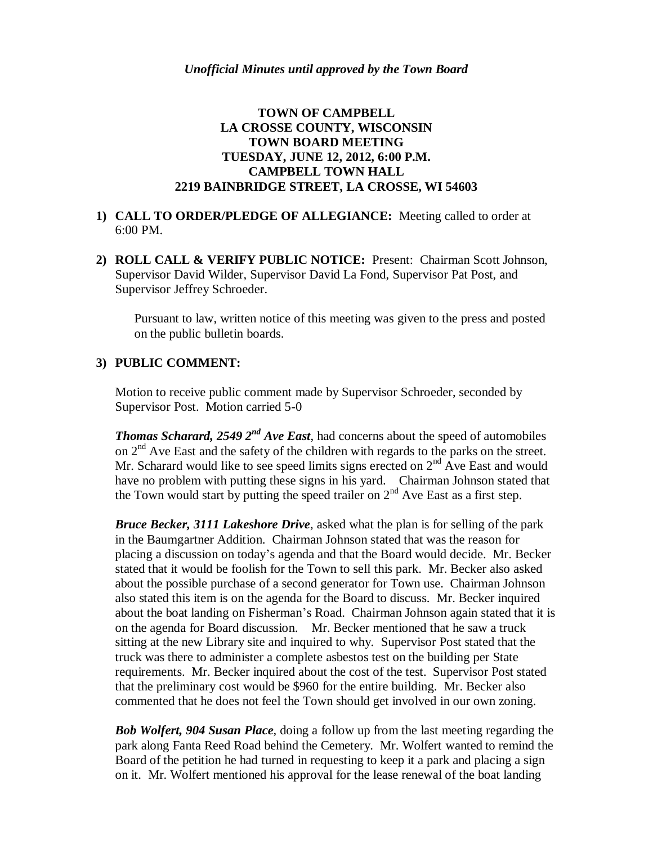# **TOWN OF CAMPBELL LA CROSSE COUNTY, WISCONSIN TOWN BOARD MEETING TUESDAY, JUNE 12, 2012, 6:00 P.M. CAMPBELL TOWN HALL 2219 BAINBRIDGE STREET, LA CROSSE, WI 54603**

## **1) CALL TO ORDER/PLEDGE OF ALLEGIANCE:** Meeting called to order at 6:00 PM.

**2) ROLL CALL & VERIFY PUBLIC NOTICE:** Present: Chairman Scott Johnson, Supervisor David Wilder, Supervisor David La Fond, Supervisor Pat Post, and Supervisor Jeffrey Schroeder.

Pursuant to law, written notice of this meeting was given to the press and posted on the public bulletin boards.

## **3) PUBLIC COMMENT:**

Motion to receive public comment made by Supervisor Schroeder, seconded by Supervisor Post. Motion carried 5-0

*Thomas Scharard, 2549 2nd Ave East*, had concerns about the speed of automobiles on 2<sup>nd</sup> Ave East and the safety of the children with regards to the parks on the street. Mr. Scharard would like to see speed limits signs erected on  $2<sup>nd</sup>$  Ave East and would have no problem with putting these signs in his yard. Chairman Johnson stated that the Town would start by putting the speed trailer on  $2<sup>nd</sup>$  Ave East as a first step.

*Bruce Becker, 3111 Lakeshore Drive*, asked what the plan is for selling of the park in the Baumgartner Addition. Chairman Johnson stated that was the reason for placing a discussion on today's agenda and that the Board would decide. Mr. Becker stated that it would be foolish for the Town to sell this park. Mr. Becker also asked about the possible purchase of a second generator for Town use. Chairman Johnson also stated this item is on the agenda for the Board to discuss. Mr. Becker inquired about the boat landing on Fisherman's Road. Chairman Johnson again stated that it is on the agenda for Board discussion. Mr. Becker mentioned that he saw a truck sitting at the new Library site and inquired to why. Supervisor Post stated that the truck was there to administer a complete asbestos test on the building per State requirements. Mr. Becker inquired about the cost of the test. Supervisor Post stated that the preliminary cost would be \$960 for the entire building. Mr. Becker also commented that he does not feel the Town should get involved in our own zoning.

*Bob Wolfert, 904 Susan Place*, doing a follow up from the last meeting regarding the park along Fanta Reed Road behind the Cemetery. Mr. Wolfert wanted to remind the Board of the petition he had turned in requesting to keep it a park and placing a sign on it. Mr. Wolfert mentioned his approval for the lease renewal of the boat landing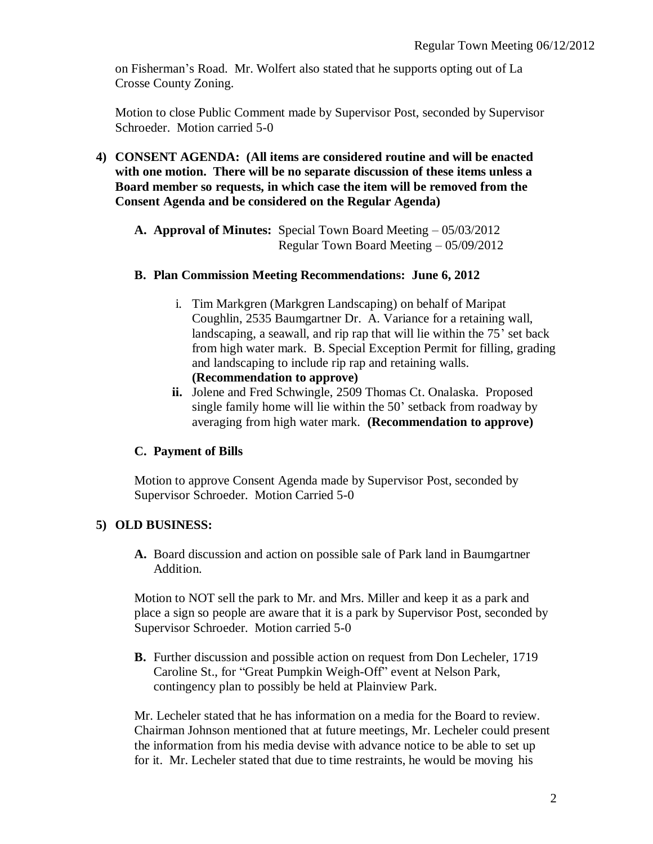on Fisherman's Road. Mr. Wolfert also stated that he supports opting out of La Crosse County Zoning.

Motion to close Public Comment made by Supervisor Post, seconded by Supervisor Schroeder. Motion carried 5-0

- **4) CONSENT AGENDA: (All items are considered routine and will be enacted with one motion. There will be no separate discussion of these items unless a Board member so requests, in which case the item will be removed from the Consent Agenda and be considered on the Regular Agenda)**
	- **A. Approval of Minutes:** Special Town Board Meeting 05/03/2012 Regular Town Board Meeting – 05/09/2012

#### **B. Plan Commission Meeting Recommendations: June 6, 2012**

- i. Tim Markgren (Markgren Landscaping) on behalf of Maripat Coughlin, 2535 Baumgartner Dr. A. Variance for a retaining wall, landscaping, a seawall, and rip rap that will lie within the 75' set back from high water mark. B. Special Exception Permit for filling, grading and landscaping to include rip rap and retaining walls. **(Recommendation to approve)**
- **ii.** Jolene and Fred Schwingle, 2509 Thomas Ct. Onalaska. Proposed single family home will lie within the 50' setback from roadway by averaging from high water mark. **(Recommendation to approve)**

# **C. Payment of Bills**

Motion to approve Consent Agenda made by Supervisor Post, seconded by Supervisor Schroeder. Motion Carried 5-0

# **5) OLD BUSINESS:**

**A.** Board discussion and action on possible sale of Park land in Baumgartner Addition.

Motion to NOT sell the park to Mr. and Mrs. Miller and keep it as a park and place a sign so people are aware that it is a park by Supervisor Post, seconded by Supervisor Schroeder. Motion carried 5-0

**B.** Further discussion and possible action on request from Don Lecheler, 1719 Caroline St., for "Great Pumpkin Weigh-Off" event at Nelson Park, contingency plan to possibly be held at Plainview Park.

Mr. Lecheler stated that he has information on a media for the Board to review. Chairman Johnson mentioned that at future meetings, Mr. Lecheler could present the information from his media devise with advance notice to be able to set up for it. Mr. Lecheler stated that due to time restraints, he would be moving his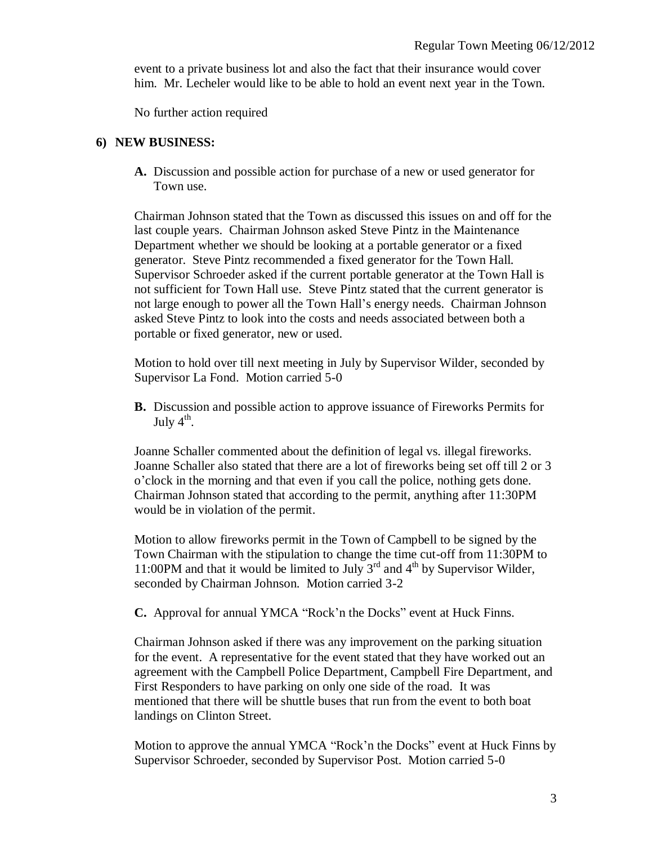event to a private business lot and also the fact that their insurance would cover him. Mr. Lecheler would like to be able to hold an event next year in the Town.

No further action required

#### **6) NEW BUSINESS:**

**A.** Discussion and possible action for purchase of a new or used generator for Town use.

Chairman Johnson stated that the Town as discussed this issues on and off for the last couple years. Chairman Johnson asked Steve Pintz in the Maintenance Department whether we should be looking at a portable generator or a fixed generator. Steve Pintz recommended a fixed generator for the Town Hall. Supervisor Schroeder asked if the current portable generator at the Town Hall is not sufficient for Town Hall use. Steve Pintz stated that the current generator is not large enough to power all the Town Hall's energy needs. Chairman Johnson asked Steve Pintz to look into the costs and needs associated between both a portable or fixed generator, new or used.

Motion to hold over till next meeting in July by Supervisor Wilder, seconded by Supervisor La Fond. Motion carried 5-0

**B.** Discussion and possible action to approve issuance of Fireworks Permits for July  $4^{\text{th}}$ .

Joanne Schaller commented about the definition of legal vs. illegal fireworks. Joanne Schaller also stated that there are a lot of fireworks being set off till 2 or 3 o'clock in the morning and that even if you call the police, nothing gets done. Chairman Johnson stated that according to the permit, anything after 11:30PM would be in violation of the permit.

Motion to allow fireworks permit in the Town of Campbell to be signed by the Town Chairman with the stipulation to change the time cut-off from 11:30PM to 11:00PM and that it would be limited to July  $3^{rd}$  and  $4^{th}$  by Supervisor Wilder, seconded by Chairman Johnson. Motion carried 3-2

**C.** Approval for annual YMCA "Rock'n the Docks" event at Huck Finns.

Chairman Johnson asked if there was any improvement on the parking situation for the event. A representative for the event stated that they have worked out an agreement with the Campbell Police Department, Campbell Fire Department, and First Responders to have parking on only one side of the road. It was mentioned that there will be shuttle buses that run from the event to both boat landings on Clinton Street.

Motion to approve the annual YMCA "Rock'n the Docks" event at Huck Finns by Supervisor Schroeder, seconded by Supervisor Post. Motion carried 5-0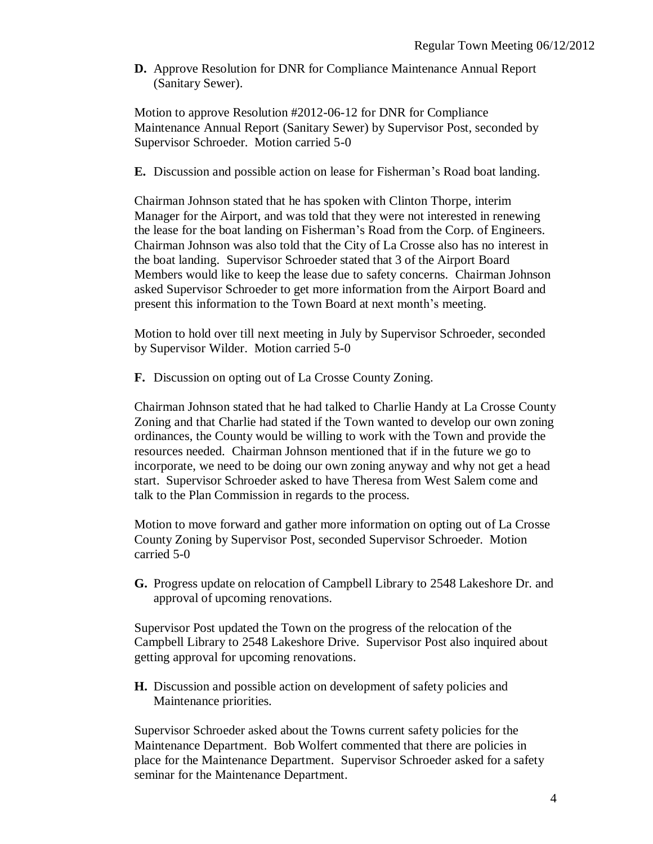**D.** Approve Resolution for DNR for Compliance Maintenance Annual Report (Sanitary Sewer).

Motion to approve Resolution #2012-06-12 for DNR for Compliance Maintenance Annual Report (Sanitary Sewer) by Supervisor Post, seconded by Supervisor Schroeder. Motion carried 5-0

**E.** Discussion and possible action on lease for Fisherman's Road boat landing.

Chairman Johnson stated that he has spoken with Clinton Thorpe, interim Manager for the Airport, and was told that they were not interested in renewing the lease for the boat landing on Fisherman's Road from the Corp. of Engineers. Chairman Johnson was also told that the City of La Crosse also has no interest in the boat landing. Supervisor Schroeder stated that 3 of the Airport Board Members would like to keep the lease due to safety concerns. Chairman Johnson asked Supervisor Schroeder to get more information from the Airport Board and present this information to the Town Board at next month's meeting.

Motion to hold over till next meeting in July by Supervisor Schroeder, seconded by Supervisor Wilder. Motion carried 5-0

**F.** Discussion on opting out of La Crosse County Zoning.

Chairman Johnson stated that he had talked to Charlie Handy at La Crosse County Zoning and that Charlie had stated if the Town wanted to develop our own zoning ordinances, the County would be willing to work with the Town and provide the resources needed. Chairman Johnson mentioned that if in the future we go to incorporate, we need to be doing our own zoning anyway and why not get a head start. Supervisor Schroeder asked to have Theresa from West Salem come and talk to the Plan Commission in regards to the process.

Motion to move forward and gather more information on opting out of La Crosse County Zoning by Supervisor Post, seconded Supervisor Schroeder. Motion carried 5-0

**G.** Progress update on relocation of Campbell Library to 2548 Lakeshore Dr. and approval of upcoming renovations.

Supervisor Post updated the Town on the progress of the relocation of the Campbell Library to 2548 Lakeshore Drive. Supervisor Post also inquired about getting approval for upcoming renovations.

**H.** Discussion and possible action on development of safety policies and Maintenance priorities.

Supervisor Schroeder asked about the Towns current safety policies for the Maintenance Department. Bob Wolfert commented that there are policies in place for the Maintenance Department. Supervisor Schroeder asked for a safety seminar for the Maintenance Department.